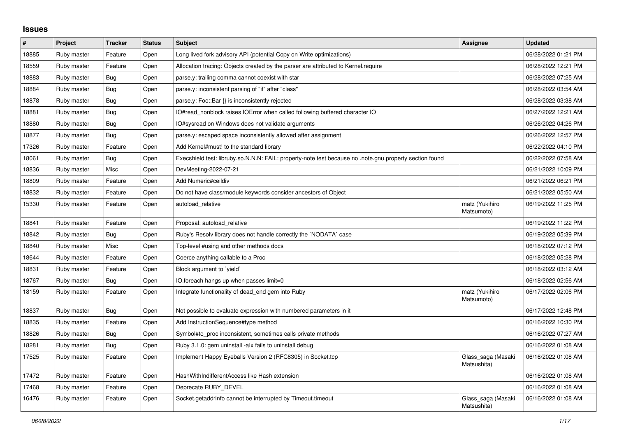## **Issues**

| #     | Project     | <b>Tracker</b> | <b>Status</b> | <b>Subject</b>                                                                                          | Assignee                          | <b>Updated</b>      |
|-------|-------------|----------------|---------------|---------------------------------------------------------------------------------------------------------|-----------------------------------|---------------------|
| 18885 | Ruby master | Feature        | Open          | Long lived fork advisory API (potential Copy on Write optimizations)                                    |                                   | 06/28/2022 01:21 PM |
| 18559 | Ruby master | Feature        | Open          | Allocation tracing: Objects created by the parser are attributed to Kernel.require                      |                                   | 06/28/2022 12:21 PM |
| 18883 | Ruby master | Bug            | Open          | parse.y: trailing comma cannot coexist with star                                                        |                                   | 06/28/2022 07:25 AM |
| 18884 | Ruby master | Bug            | Open          | parse.y: inconsistent parsing of "if" after "class"                                                     |                                   | 06/28/2022 03:54 AM |
| 18878 | Ruby master | <b>Bug</b>     | Open          | parse.y: Foo::Bar {} is inconsistently rejected                                                         |                                   | 06/28/2022 03:38 AM |
| 18881 | Ruby master | <b>Bug</b>     | Open          | IO#read_nonblock raises IOError when called following buffered character IO                             |                                   | 06/27/2022 12:21 AM |
| 18880 | Ruby master | <b>Bug</b>     | Open          | IO#sysread on Windows does not validate arguments                                                       |                                   | 06/26/2022 04:26 PM |
| 18877 | Ruby master | Bug            | Open          | parse.y: escaped space inconsistently allowed after assignment                                          |                                   | 06/26/2022 12:57 PM |
| 17326 | Ruby master | Feature        | Open          | Add Kernel#must! to the standard library                                                                |                                   | 06/22/2022 04:10 PM |
| 18061 | Ruby master | Bug            | Open          | Execshield test: libruby.so.N.N.N: FAIL: property-note test because no .note.gnu.property section found |                                   | 06/22/2022 07:58 AM |
| 18836 | Ruby master | Misc           | Open          | DevMeeting-2022-07-21                                                                                   |                                   | 06/21/2022 10:09 PM |
| 18809 | Ruby master | Feature        | Open          | Add Numeric#ceildiv                                                                                     |                                   | 06/21/2022 06:21 PM |
| 18832 | Ruby master | Feature        | Open          | Do not have class/module keywords consider ancestors of Object                                          |                                   | 06/21/2022 05:50 AM |
| 15330 | Ruby master | Feature        | Open          | autoload relative                                                                                       | matz (Yukihiro<br>Matsumoto)      | 06/19/2022 11:25 PM |
| 18841 | Ruby master | Feature        | Open          | Proposal: autoload_relative                                                                             |                                   | 06/19/2022 11:22 PM |
| 18842 | Ruby master | Bug            | Open          | Ruby's Resolv library does not handle correctly the `NODATA` case                                       |                                   | 06/19/2022 05:39 PM |
| 18840 | Ruby master | Misc           | Open          | Top-level #using and other methods docs                                                                 |                                   | 06/18/2022 07:12 PM |
| 18644 | Ruby master | Feature        | Open          | Coerce anything callable to a Proc                                                                      |                                   | 06/18/2022 05:28 PM |
| 18831 | Ruby master | Feature        | Open          | Block argument to 'yield'                                                                               |                                   | 06/18/2022 03:12 AM |
| 18767 | Ruby master | Bug            | Open          | IO.foreach hangs up when passes limit=0                                                                 |                                   | 06/18/2022 02:56 AM |
| 18159 | Ruby master | Feature        | Open          | Integrate functionality of dead end gem into Ruby                                                       | matz (Yukihiro<br>Matsumoto)      | 06/17/2022 02:06 PM |
| 18837 | Ruby master | <b>Bug</b>     | Open          | Not possible to evaluate expression with numbered parameters in it                                      |                                   | 06/17/2022 12:48 PM |
| 18835 | Ruby master | Feature        | Open          | Add InstructionSequence#type method                                                                     |                                   | 06/16/2022 10:30 PM |
| 18826 | Ruby master | Bug            | Open          | Symbol#to proc inconsistent, sometimes calls private methods                                            |                                   | 06/16/2022 07:27 AM |
| 18281 | Ruby master | Bug            | Open          | Ruby 3.1.0: gem uninstall -alx fails to uninstall debug                                                 |                                   | 06/16/2022 01:08 AM |
| 17525 | Ruby master | Feature        | Open          | Implement Happy Eyeballs Version 2 (RFC8305) in Socket.tcp                                              | Glass_saga (Masaki<br>Matsushita) | 06/16/2022 01:08 AM |
| 17472 | Ruby master | Feature        | Open          | HashWithIndifferentAccess like Hash extension                                                           |                                   | 06/16/2022 01:08 AM |
| 17468 | Ruby master | Feature        | Open          | Deprecate RUBY_DEVEL                                                                                    |                                   | 06/16/2022 01:08 AM |
| 16476 | Ruby master | Feature        | Open          | Socket.getaddrinfo cannot be interrupted by Timeout.timeout                                             | Glass_saga (Masaki<br>Matsushita) | 06/16/2022 01:08 AM |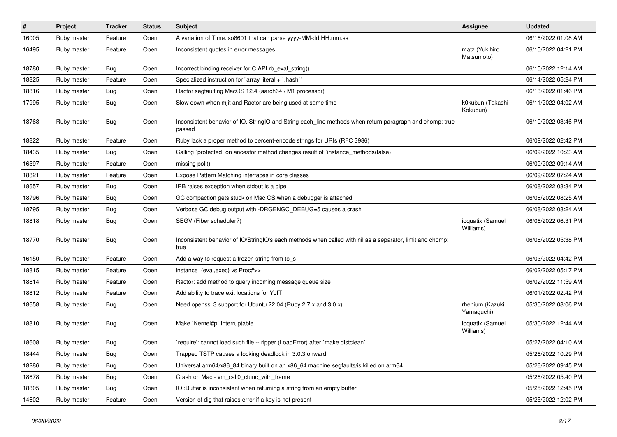| #     | Project     | <b>Tracker</b> | <b>Status</b> | <b>Subject</b>                                                                                                     | <b>Assignee</b>               | <b>Updated</b>      |
|-------|-------------|----------------|---------------|--------------------------------------------------------------------------------------------------------------------|-------------------------------|---------------------|
| 16005 | Ruby master | Feature        | Open          | A variation of Time.iso8601 that can parse yyyy-MM-dd HH:mm:ss                                                     |                               | 06/16/2022 01:08 AM |
| 16495 | Ruby master | Feature        | Open          | Inconsistent quotes in error messages                                                                              | matz (Yukihiro<br>Matsumoto)  | 06/15/2022 04:21 PM |
| 18780 | Ruby master | <b>Bug</b>     | Open          | Incorrect binding receiver for C API rb_eval_string()                                                              |                               | 06/15/2022 12:14 AM |
| 18825 | Ruby master | Feature        | Open          | Specialized instruction for "array literal + `.hash`"                                                              |                               | 06/14/2022 05:24 PM |
| 18816 | Ruby master | <b>Bug</b>     | Open          | Ractor segfaulting MacOS 12.4 (aarch64 / M1 processor)                                                             |                               | 06/13/2022 01:46 PM |
| 17995 | Ruby master | Bug            | Open          | Slow down when mjit and Ractor are being used at same time                                                         | k0kubun (Takashi<br>Kokubun)  | 06/11/2022 04:02 AM |
| 18768 | Ruby master | <b>Bug</b>     | Open          | Inconsistent behavior of IO, StringIO and String each_line methods when return paragraph and chomp: true<br>passed |                               | 06/10/2022 03:46 PM |
| 18822 | Ruby master | Feature        | Open          | Ruby lack a proper method to percent-encode strings for URIs (RFC 3986)                                            |                               | 06/09/2022 02:42 PM |
| 18435 | Ruby master | <b>Bug</b>     | Open          | Calling `protected` on ancestor method changes result of `instance_methods(false)`                                 |                               | 06/09/2022 10:23 AM |
| 16597 | Ruby master | Feature        | Open          | missing poll()                                                                                                     |                               | 06/09/2022 09:14 AM |
| 18821 | Ruby master | Feature        | Open          | Expose Pattern Matching interfaces in core classes                                                                 |                               | 06/09/2022 07:24 AM |
| 18657 | Ruby master | <b>Bug</b>     | Open          | IRB raises exception when stdout is a pipe                                                                         |                               | 06/08/2022 03:34 PM |
| 18796 | Ruby master | <b>Bug</b>     | Open          | GC compaction gets stuck on Mac OS when a debugger is attached                                                     |                               | 06/08/2022 08:25 AM |
| 18795 | Ruby master | <b>Bug</b>     | Open          | Verbose GC debug output with -DRGENGC_DEBUG=5 causes a crash                                                       |                               | 06/08/2022 08:24 AM |
| 18818 | Ruby master | <b>Bug</b>     | Open          | SEGV (Fiber scheduler?)                                                                                            | ioquatix (Samuel<br>Williams) | 06/06/2022 06:31 PM |
| 18770 | Ruby master | Bug            | Open          | Inconsistent behavior of IO/StringIO's each methods when called with nil as a separator, limit and chomp:<br>true  |                               | 06/06/2022 05:38 PM |
| 16150 | Ruby master | Feature        | Open          | Add a way to request a frozen string from to_s                                                                     |                               | 06/03/2022 04:42 PM |
| 18815 | Ruby master | Feature        | Open          | instance_{eval,exec} vs Proc#>>                                                                                    |                               | 06/02/2022 05:17 PM |
| 18814 | Ruby master | Feature        | Open          | Ractor: add method to query incoming message queue size                                                            |                               | 06/02/2022 11:59 AM |
| 18812 | Ruby master | Feature        | Open          | Add ability to trace exit locations for YJIT                                                                       |                               | 06/01/2022 02:42 PM |
| 18658 | Ruby master | <b>Bug</b>     | Open          | Need openssl 3 support for Ubuntu 22.04 (Ruby 2.7.x and 3.0.x)                                                     | rhenium (Kazuki<br>Yamaguchi) | 05/30/2022 08:06 PM |
| 18810 | Ruby master | Bug            | Open          | Make `Kernel#p` interruptable.                                                                                     | ioquatix (Samuel<br>Williams) | 05/30/2022 12:44 AM |
| 18608 | Ruby master | <b>Bug</b>     | Open          | require': cannot load such file -- ripper (LoadError) after `make distclean`                                       |                               | 05/27/2022 04:10 AM |
| 18444 | Ruby master | i Bug          | Open          | Trapped TSTP causes a locking deadlock in 3.0.3 onward                                                             |                               | 05/26/2022 10:29 PM |
| 18286 | Ruby master | Bug            | Open          | Universal arm64/x86_84 binary built on an x86_64 machine segfaults/is killed on arm64                              |                               | 05/26/2022 09:45 PM |
| 18678 | Ruby master | <b>Bug</b>     | Open          | Crash on Mac - vm_call0_cfunc_with_frame                                                                           |                               | 05/26/2022 05:40 PM |
| 18805 | Ruby master | Bug            | Open          | IO::Buffer is inconsistent when returning a string from an empty buffer                                            |                               | 05/25/2022 12:45 PM |
| 14602 | Ruby master | Feature        | Open          | Version of dig that raises error if a key is not present                                                           |                               | 05/25/2022 12:02 PM |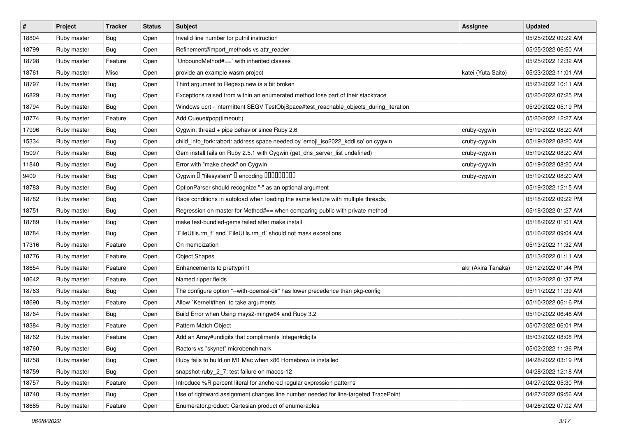| $\#$  | Project     | <b>Tracker</b> | <b>Status</b> | Subject                                                                               | <b>Assignee</b>    | <b>Updated</b>      |
|-------|-------------|----------------|---------------|---------------------------------------------------------------------------------------|--------------------|---------------------|
| 18804 | Ruby master | Bug            | Open          | Invalid line number for putnil instruction                                            |                    | 05/25/2022 09:22 AM |
| 18799 | Ruby master | Bug            | Open          | Refinement#import_methods vs attr_reader                                              |                    | 05/25/2022 06:50 AM |
| 18798 | Ruby master | Feature        | Open          | 'UnboundMethod#==' with inherited classes                                             |                    | 05/25/2022 12:32 AM |
| 18761 | Ruby master | Misc           | Open          | provide an example wasm project                                                       | katei (Yuta Saito) | 05/23/2022 11:01 AM |
| 18797 | Ruby master | Bug            | Open          | Third argument to Regexp.new is a bit broken                                          |                    | 05/23/2022 10:11 AM |
| 16829 | Ruby master | Bug            | Open          | Exceptions raised from within an enumerated method lose part of their stacktrace      |                    | 05/20/2022 07:25 PM |
| 18794 | Ruby master | Bug            | Open          | Windows ucrt - intermittent SEGV TestObjSpace#test_reachable_objects_during_iteration |                    | 05/20/2022 05:19 PM |
| 18774 | Ruby master | Feature        | Open          | Add Queue#pop(timeout:)                                                               |                    | 05/20/2022 12:27 AM |
| 17996 | Ruby master | Bug            | Open          | Cygwin: thread + pipe behavior since Ruby 2.6                                         | cruby-cygwin       | 05/19/2022 08:20 AM |
| 15334 | Ruby master | Bug            | Open          | child_info_fork::abort: address space needed by 'emoji_iso2022_kddi.so' on cygwin     | cruby-cygwin       | 05/19/2022 08:20 AM |
| 15097 | Ruby master | <b>Bug</b>     | Open          | Gem install fails on Ruby 2.5.1 with Cygwin (get_dns_server_list undefined)           | cruby-cygwin       | 05/19/2022 08:20 AM |
| 11840 | Ruby master | Bug            | Open          | Error with "make check" on Cygwin                                                     | cruby-cygwin       | 05/19/2022 08:20 AM |
| 9409  | Ruby master | Bug            | Open          |                                                                                       | cruby-cygwin       | 05/19/2022 08:20 AM |
| 18783 | Ruby master | Bug            | Open          | OptionParser should recognize "-" as an optional argument                             |                    | 05/19/2022 12:15 AM |
| 18782 | Ruby master | Bug            | Open          | Race conditions in autoload when loading the same feature with multiple threads.      |                    | 05/18/2022 09:22 PM |
| 18751 | Ruby master | <b>Bug</b>     | Open          | Regression on master for Method#== when comparing public with private method          |                    | 05/18/2022 01:27 AM |
| 18789 | Ruby master | Bug            | Open          | make test-bundled-gems failed after make install                                      |                    | 05/18/2022 01:01 AM |
| 18784 | Ruby master | Bug            | Open          | `FileUtils.rm_f` and `FileUtils.rm_rf` should not mask exceptions                     |                    | 05/16/2022 09:04 AM |
| 17316 | Ruby master | Feature        | Open          | On memoization                                                                        |                    | 05/13/2022 11:32 AM |
| 18776 | Ruby master | Feature        | Open          | <b>Object Shapes</b>                                                                  |                    | 05/13/2022 01:11 AM |
| 18654 | Ruby master | Feature        | Open          | Enhancements to prettyprint                                                           | akr (Akira Tanaka) | 05/12/2022 01:44 PM |
| 18642 | Ruby master | Feature        | Open          | Named ripper fields                                                                   |                    | 05/12/2022 01:37 PM |
| 18763 | Ruby master | Bug            | Open          | The configure option "--with-openssl-dir" has lower precedence than pkg-config        |                    | 05/11/2022 11:39 AM |
| 18690 | Ruby master | Feature        | Open          | Allow `Kernel#then` to take arguments                                                 |                    | 05/10/2022 06:16 PM |
| 18764 | Ruby master | Bug            | Open          | Build Error when Using msys2-mingw64 and Ruby 3.2                                     |                    | 05/10/2022 06:48 AM |
| 18384 | Ruby master | Feature        | Open          | Pattern Match Object                                                                  |                    | 05/07/2022 06:01 PM |
| 18762 | Ruby master | Feature        | Open          | Add an Array#undigits that compliments Integer#digits                                 |                    | 05/03/2022 08:08 PM |
| 18760 | Ruby master | Bug            | Open          | Ractors vs "skynet" microbenchmark                                                    |                    | 05/02/2022 11:36 PM |
| 18758 | Ruby master | <b>Bug</b>     | Open          | Ruby fails to build on M1 Mac when x86 Homebrew is installed                          |                    | 04/28/2022 03:19 PM |
| 18759 | Ruby master | Bug            | Open          | snapshot-ruby_2_7: test failure on macos-12                                           |                    | 04/28/2022 12:18 AM |
| 18757 | Ruby master | Feature        | Open          | Introduce %R percent literal for anchored regular expression patterns                 |                    | 04/27/2022 05:30 PM |
| 18740 | Ruby master | Bug            | Open          | Use of rightward assignment changes line number needed for line-targeted TracePoint   |                    | 04/27/2022 09:56 AM |
| 18685 | Ruby master | Feature        | Open          | Enumerator.product: Cartesian product of enumerables                                  |                    | 04/26/2022 07:02 AM |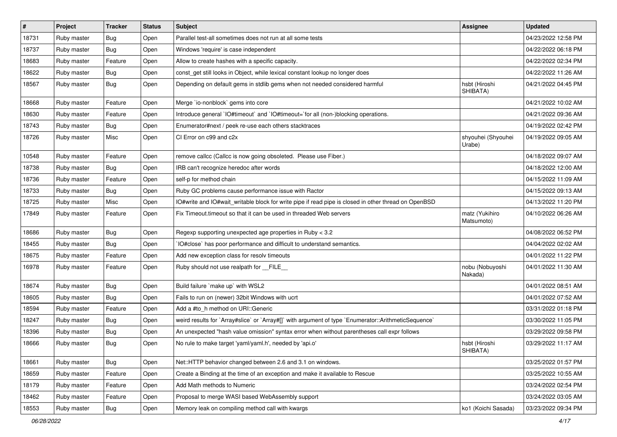| $\vert$ # | Project     | <b>Tracker</b> | <b>Status</b> | <b>Subject</b>                                                                                       | <b>Assignee</b>              | <b>Updated</b>      |
|-----------|-------------|----------------|---------------|------------------------------------------------------------------------------------------------------|------------------------------|---------------------|
| 18731     | Ruby master | Bug            | Open          | Parallel test-all sometimes does not run at all some tests                                           |                              | 04/23/2022 12:58 PM |
| 18737     | Ruby master | Bug            | Open          | Windows 'require' is case independent                                                                |                              | 04/22/2022 06:18 PM |
| 18683     | Ruby master | Feature        | Open          | Allow to create hashes with a specific capacity.                                                     |                              | 04/22/2022 02:34 PM |
| 18622     | Ruby master | <b>Bug</b>     | Open          | const_get still looks in Object, while lexical constant lookup no longer does                        |                              | 04/22/2022 11:26 AM |
| 18567     | Ruby master | <b>Bug</b>     | Open          | Depending on default gems in stdlib gems when not needed considered harmful                          | hsbt (Hiroshi<br>SHIBATA)    | 04/21/2022 04:45 PM |
| 18668     | Ruby master | Feature        | Open          | Merge `io-nonblock` gems into core                                                                   |                              | 04/21/2022 10:02 AM |
| 18630     | Ruby master | Feature        | Open          | Introduce general `IO#timeout` and `IO#timeout=`for all (non-)blocking operations.                   |                              | 04/21/2022 09:36 AM |
| 18743     | Ruby master | <b>Bug</b>     | Open          | Enumerator#next / peek re-use each others stacktraces                                                |                              | 04/19/2022 02:42 PM |
| 18726     | Ruby master | Misc           | Open          | CI Error on c99 and c2x                                                                              | shyouhei (Shyouhei<br>Urabe) | 04/19/2022 09:05 AM |
| 10548     | Ruby master | Feature        | Open          | remove callcc (Callcc is now going obsoleted. Please use Fiber.)                                     |                              | 04/18/2022 09:07 AM |
| 18738     | Ruby master | Bug            | Open          | IRB can't recognize heredoc after words                                                              |                              | 04/18/2022 12:00 AM |
| 18736     | Ruby master | Feature        | Open          | self-p for method chain                                                                              |                              | 04/15/2022 11:09 AM |
| 18733     | Ruby master | <b>Bug</b>     | Open          | Ruby GC problems cause performance issue with Ractor                                                 |                              | 04/15/2022 09:13 AM |
| 18725     | Ruby master | Misc           | Open          | IO#write and IO#wait_writable block for write pipe if read pipe is closed in other thread on OpenBSD |                              | 04/13/2022 11:20 PM |
| 17849     | Ruby master | Feature        | Open          | Fix Timeout timeout so that it can be used in threaded Web servers                                   | matz (Yukihiro<br>Matsumoto) | 04/10/2022 06:26 AM |
| 18686     | Ruby master | Bug            | Open          | Regexp supporting unexpected age properties in Ruby < 3.2                                            |                              | 04/08/2022 06:52 PM |
| 18455     | Ruby master | Bug            | Open          | IO#close` has poor performance and difficult to understand semantics.                                |                              | 04/04/2022 02:02 AM |
| 18675     | Ruby master | Feature        | Open          | Add new exception class for resolv timeouts                                                          |                              | 04/01/2022 11:22 PM |
| 16978     | Ruby master | Feature        | Open          | Ruby should not use realpath for FILE                                                                | nobu (Nobuyoshi<br>Nakada)   | 04/01/2022 11:30 AM |
| 18674     | Ruby master | <b>Bug</b>     | Open          | Build failure `make up` with WSL2                                                                    |                              | 04/01/2022 08:51 AM |
| 18605     | Ruby master | Bug            | Open          | Fails to run on (newer) 32bit Windows with ucrt                                                      |                              | 04/01/2022 07:52 AM |
| 18594     | Ruby master | Feature        | Open          | Add a #to_h method on URI::Generic                                                                   |                              | 03/31/2022 01:18 PM |
| 18247     | Ruby master | <b>Bug</b>     | Open          | weird results for `Array#slice` or `Array#[]` with argument of type `Enumerator::ArithmeticSequence` |                              | 03/30/2022 11:05 PM |
| 18396     | Ruby master | <b>Bug</b>     | Open          | An unexpected "hash value omission" syntax error when without parentheses call expr follows          |                              | 03/29/2022 09:58 PM |
| 18666     | Ruby master | Bug            | Open          | No rule to make target 'yaml/yaml.h', needed by 'api.o'                                              | hsbt (Hiroshi<br>SHIBATA)    | 03/29/2022 11:17 AM |
| 18661     | Ruby master | Bug            | Open          | Net::HTTP behavior changed between 2.6 and 3.1 on windows.                                           |                              | 03/25/2022 01:57 PM |
| 18659     | Ruby master | Feature        | Open          | Create a Binding at the time of an exception and make it available to Rescue                         |                              | 03/25/2022 10:55 AM |
| 18179     | Ruby master | Feature        | Open          | Add Math methods to Numeric                                                                          |                              | 03/24/2022 02:54 PM |
| 18462     | Ruby master | Feature        | Open          | Proposal to merge WASI based WebAssembly support                                                     |                              | 03/24/2022 03:05 AM |
| 18553     | Ruby master | Bug            | Open          | Memory leak on compiling method call with kwargs                                                     | ko1 (Koichi Sasada)          | 03/23/2022 09:34 PM |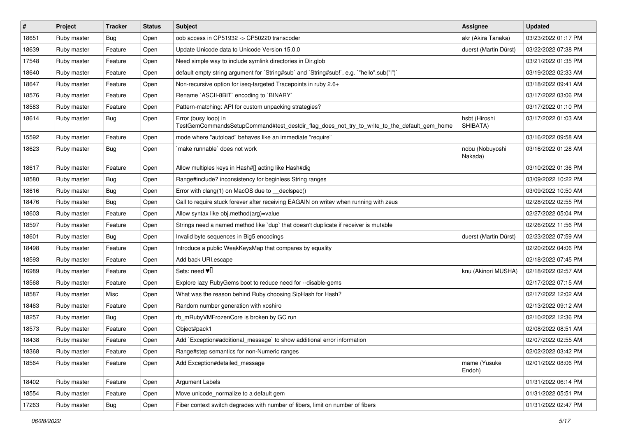| $\vert$ # | Project     | Tracker    | <b>Status</b> | <b>Subject</b>                                                                                                      | <b>Assignee</b>            | <b>Updated</b>      |
|-----------|-------------|------------|---------------|---------------------------------------------------------------------------------------------------------------------|----------------------------|---------------------|
| 18651     | Ruby master | <b>Bug</b> | Open          | oob access in CP51932 -> CP50220 transcoder                                                                         | akr (Akira Tanaka)         | 03/23/2022 01:17 PM |
| 18639     | Ruby master | Feature    | Open          | Update Unicode data to Unicode Version 15.0.0                                                                       | duerst (Martin Dürst)      | 03/22/2022 07:38 PM |
| 17548     | Ruby master | Feature    | Open          | Need simple way to include symlink directories in Dir.glob                                                          |                            | 03/21/2022 01:35 PM |
| 18640     | Ruby master | Feature    | Open          | default empty string argument for `String#sub` and `String#sub!`, e.g. `"hello".sub("I")`                           |                            | 03/19/2022 02:33 AM |
| 18647     | Ruby master | Feature    | Open          | Non-recursive option for iseq-targeted Tracepoints in ruby 2.6+                                                     |                            | 03/18/2022 09:41 AM |
| 18576     | Ruby master | Feature    | Open          | Rename `ASCII-8BIT` encoding to `BINARY`                                                                            |                            | 03/17/2022 03:06 PM |
| 18583     | Ruby master | Feature    | Open          | Pattern-matching: API for custom unpacking strategies?                                                              |                            | 03/17/2022 01:10 PM |
| 18614     | Ruby master | Bug        | Open          | Error (busy loop) in<br>TestGemCommandsSetupCommand#test_destdir_flag_does_not_try_to_write_to_the_default_gem_home | hsbt (Hiroshi<br>SHIBATA)  | 03/17/2022 01:03 AM |
| 15592     | Ruby master | Feature    | Open          | mode where "autoload" behaves like an immediate "require"                                                           |                            | 03/16/2022 09:58 AM |
| 18623     | Ruby master | Bug        | Open          | make runnable' does not work                                                                                        | nobu (Nobuyoshi<br>Nakada) | 03/16/2022 01:28 AM |
| 18617     | Ruby master | Feature    | Open          | Allow multiples keys in Hash#[] acting like Hash#dig                                                                |                            | 03/10/2022 01:36 PM |
| 18580     | Ruby master | <b>Bug</b> | Open          | Range#include? inconsistency for beginless String ranges                                                            |                            | 03/09/2022 10:22 PM |
| 18616     | Ruby master | <b>Bug</b> | Open          | Error with clang(1) on MacOS due to _declspec()                                                                     |                            | 03/09/2022 10:50 AM |
| 18476     | Ruby master | Bug        | Open          | Call to require stuck forever after receiving EAGAIN on writev when running with zeus                               |                            | 02/28/2022 02:55 PM |
| 18603     | Ruby master | Feature    | Open          | Allow syntax like obj.method(arg)=value                                                                             |                            | 02/27/2022 05:04 PM |
| 18597     | Ruby master | Feature    | Open          | Strings need a named method like 'dup' that doesn't duplicate if receiver is mutable                                |                            | 02/26/2022 11:56 PM |
| 18601     | Ruby master | Bug        | Open          | Invalid byte sequences in Big5 encodings                                                                            | duerst (Martin Dürst)      | 02/23/2022 07:59 AM |
| 18498     | Ruby master | Feature    | Open          | Introduce a public WeakKeysMap that compares by equality                                                            |                            | 02/20/2022 04:06 PM |
| 18593     | Ruby master | Feature    | Open          | Add back URI.escape                                                                                                 |                            | 02/18/2022 07:45 PM |
| 16989     | Ruby master | Feature    | Open          | Sets: need $\Psi$ <sup>[]</sup>                                                                                     | knu (Akinori MUSHA)        | 02/18/2022 02:57 AM |
| 18568     | Ruby master | Feature    | Open          | Explore lazy RubyGems boot to reduce need for --disable-gems                                                        |                            | 02/17/2022 07:15 AM |
| 18587     | Ruby master | Misc       | Open          | What was the reason behind Ruby choosing SipHash for Hash?                                                          |                            | 02/17/2022 12:02 AM |
| 18463     | Ruby master | Feature    | Open          | Random number generation with xoshiro                                                                               |                            | 02/13/2022 09:12 AM |
| 18257     | Ruby master | Bug        | Open          | rb_mRubyVMFrozenCore is broken by GC run                                                                            |                            | 02/10/2022 12:36 PM |
| 18573     | Ruby master | Feature    | Open          | Object#pack1                                                                                                        |                            | 02/08/2022 08:51 AM |
| 18438     | Ruby master | Feature    | Open          | Add `Exception#additional_message` to show additional error information                                             |                            | 02/07/2022 02:55 AM |
| 18368     | Ruby master | Feature    | Open          | Range#step semantics for non-Numeric ranges                                                                         |                            | 02/02/2022 03:42 PM |
| 18564     | Ruby master | Feature    | Open          | Add Exception#detailed_message                                                                                      | mame (Yusuke<br>Endoh)     | 02/01/2022 08:06 PM |
| 18402     | Ruby master | Feature    | Open          | <b>Argument Labels</b>                                                                                              |                            | 01/31/2022 06:14 PM |
| 18554     | Ruby master | Feature    | Open          | Move unicode_normalize to a default gem                                                                             |                            | 01/31/2022 05:51 PM |
| 17263     | Ruby master | <b>Bug</b> | Open          | Fiber context switch degrades with number of fibers, limit on number of fibers                                      |                            | 01/31/2022 02:47 PM |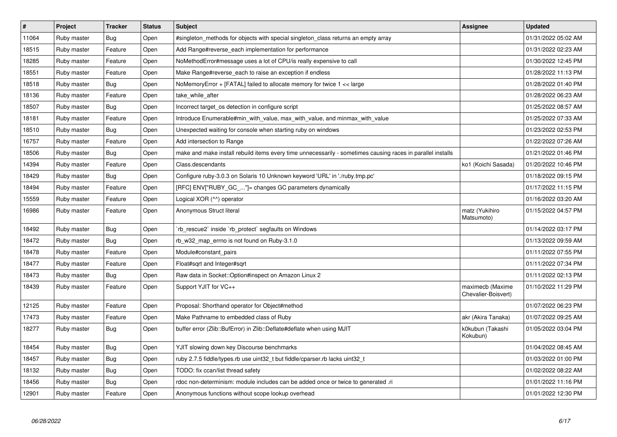| #     | Project     | <b>Tracker</b> | <b>Status</b> | <b>Subject</b>                                                                                              | <b>Assignee</b>                         | <b>Updated</b>      |
|-------|-------------|----------------|---------------|-------------------------------------------------------------------------------------------------------------|-----------------------------------------|---------------------|
| 11064 | Ruby master | Bug            | Open          | #singleton methods for objects with special singleton class returns an empty array                          |                                         | 01/31/2022 05:02 AM |
| 18515 | Ruby master | Feature        | Open          | Add Range#reverse_each implementation for performance                                                       |                                         | 01/31/2022 02:23 AM |
| 18285 | Ruby master | Feature        | Open          | NoMethodError#message uses a lot of CPU/is really expensive to call                                         |                                         | 01/30/2022 12:45 PM |
| 18551 | Ruby master | Feature        | Open          | Make Range#reverse_each to raise an exception if endless                                                    |                                         | 01/28/2022 11:13 PM |
| 18518 | Ruby master | Bug            | Open          | NoMemoryError + [FATAL] failed to allocate memory for twice 1 << large                                      |                                         | 01/28/2022 01:40 PM |
| 18136 | Ruby master | Feature        | Open          | take while after                                                                                            |                                         | 01/28/2022 06:23 AM |
| 18507 | Ruby master | Bug            | Open          | Incorrect target_os detection in configure script                                                           |                                         | 01/25/2022 08:57 AM |
| 18181 | Ruby master | Feature        | Open          | Introduce Enumerable#min with value, max with value, and minmax with value                                  |                                         | 01/25/2022 07:33 AM |
| 18510 | Ruby master | Bug            | Open          | Unexpected waiting for console when starting ruby on windows                                                |                                         | 01/23/2022 02:53 PM |
| 16757 | Ruby master | Feature        | Open          | Add intersection to Range                                                                                   |                                         | 01/22/2022 07:26 AM |
| 18506 | Ruby master | Bug            | Open          | make and make install rebuild items every time unnecessarily - sometimes causing races in parallel installs |                                         | 01/21/2022 01:46 PM |
| 14394 | Ruby master | Feature        | Open          | Class.descendants                                                                                           | ko1 (Koichi Sasada)                     | 01/20/2022 10:46 PM |
| 18429 | Ruby master | Bug            | Open          | Configure ruby-3.0.3 on Solaris 10 Unknown keyword 'URL' in './ruby.tmp.pc'                                 |                                         | 01/18/2022 09:15 PM |
| 18494 | Ruby master | Feature        | Open          | [RFC] ENV["RUBY_GC_"]= changes GC parameters dynamically                                                    |                                         | 01/17/2022 11:15 PM |
| 15559 | Ruby master | Feature        | Open          | Logical XOR (^^) operator                                                                                   |                                         | 01/16/2022 03:20 AM |
| 16986 | Ruby master | Feature        | Open          | Anonymous Struct literal                                                                                    | matz (Yukihiro<br>Matsumoto)            | 01/15/2022 04:57 PM |
| 18492 | Ruby master | <b>Bug</b>     | Open          | rb_rescue2` inside `rb_protect` segfaults on Windows                                                        |                                         | 01/14/2022 03:17 PM |
| 18472 | Ruby master | Bug            | Open          | rb_w32_map_errno is not found on Ruby-3.1.0                                                                 |                                         | 01/13/2022 09:59 AM |
| 18478 | Ruby master | Feature        | Open          | Module#constant pairs                                                                                       |                                         | 01/11/2022 07:55 PM |
| 18477 | Ruby master | Feature        | Open          | Float#sqrt and Integer#sqrt                                                                                 |                                         | 01/11/2022 07:34 PM |
| 18473 | Ruby master | Bug            | Open          | Raw data in Socket::Option#inspect on Amazon Linux 2                                                        |                                         | 01/11/2022 02:13 PM |
| 18439 | Ruby master | Feature        | Open          | Support YJIT for VC++                                                                                       | maximecb (Maxime<br>Chevalier-Boisvert) | 01/10/2022 11:29 PM |
| 12125 | Ruby master | Feature        | Open          | Proposal: Shorthand operator for Object#method                                                              |                                         | 01/07/2022 06:23 PM |
| 17473 | Ruby master | Feature        | Open          | Make Pathname to embedded class of Ruby                                                                     | akr (Akira Tanaka)                      | 01/07/2022 09:25 AM |
| 18277 | Ruby master | Bug            | Open          | buffer error (Zlib::BufError) in Zlib::Deflate#deflate when using MJIT                                      | k0kubun (Takashi<br>Kokubun)            | 01/05/2022 03:04 PM |
| 18454 | Ruby master | <b>Bug</b>     | Open          | YJIT slowing down key Discourse benchmarks                                                                  |                                         | 01/04/2022 08:45 AM |
| 18457 | Ruby master | <b>Bug</b>     | Open          | ruby 2.7.5 fiddle/types.rb use uint32_t but fiddle/cparser.rb lacks uint32_t                                |                                         | 01/03/2022 01:00 PM |
| 18132 | Ruby master | <b>Bug</b>     | Open          | TODO: fix ccan/list thread safety                                                                           |                                         | 01/02/2022 08:22 AM |
| 18456 | Ruby master | <b>Bug</b>     | Open          | rdoc non-determinism: module includes can be added once or twice to generated .ri                           |                                         | 01/01/2022 11:16 PM |
| 12901 | Ruby master | Feature        | Open          | Anonymous functions without scope lookup overhead                                                           |                                         | 01/01/2022 12:30 PM |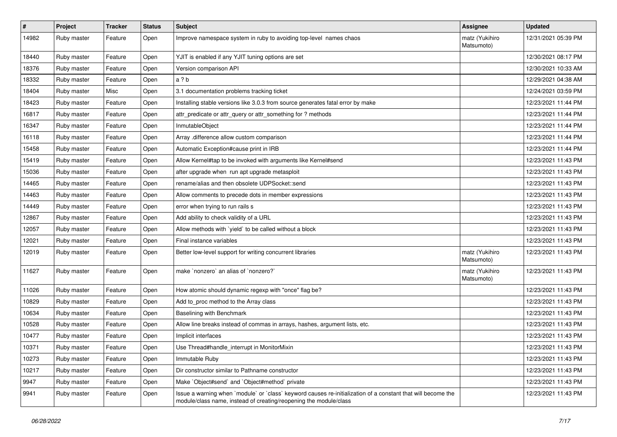| $\vert$ # | Project     | Tracker | <b>Status</b> | <b>Subject</b>                                                                                                                                                                    | <b>Assignee</b>              | <b>Updated</b>      |
|-----------|-------------|---------|---------------|-----------------------------------------------------------------------------------------------------------------------------------------------------------------------------------|------------------------------|---------------------|
| 14982     | Ruby master | Feature | Open          | Improve namespace system in ruby to avoiding top-level names chaos                                                                                                                | matz (Yukihiro<br>Matsumoto) | 12/31/2021 05:39 PM |
| 18440     | Ruby master | Feature | Open          | YJIT is enabled if any YJIT tuning options are set                                                                                                                                |                              | 12/30/2021 08:17 PM |
| 18376     | Ruby master | Feature | Open          | Version comparison API                                                                                                                                                            |                              | 12/30/2021 10:33 AM |
| 18332     | Ruby master | Feature | Open          | a ? b                                                                                                                                                                             |                              | 12/29/2021 04:38 AM |
| 18404     | Ruby master | Misc    | Open          | 3.1 documentation problems tracking ticket                                                                                                                                        |                              | 12/24/2021 03:59 PM |
| 18423     | Ruby master | Feature | Open          | Installing stable versions like 3.0.3 from source generates fatal error by make                                                                                                   |                              | 12/23/2021 11:44 PM |
| 16817     | Ruby master | Feature | Open          | attr_predicate or attr_query or attr_something for ? methods                                                                                                                      |                              | 12/23/2021 11:44 PM |
| 16347     | Ruby master | Feature | Open          | InmutableObject                                                                                                                                                                   |                              | 12/23/2021 11:44 PM |
| 16118     | Ruby master | Feature | Open          | Array .difference allow custom comparison                                                                                                                                         |                              | 12/23/2021 11:44 PM |
| 15458     | Ruby master | Feature | Open          | Automatic Exception#cause print in IRB                                                                                                                                            |                              | 12/23/2021 11:44 PM |
| 15419     | Ruby master | Feature | Open          | Allow Kernel#tap to be invoked with arguments like Kernel#send                                                                                                                    |                              | 12/23/2021 11:43 PM |
| 15036     | Ruby master | Feature | Open          | after upgrade when run apt upgrade metasploit                                                                                                                                     |                              | 12/23/2021 11:43 PM |
| 14465     | Ruby master | Feature | Open          | rename/alias and then obsolete UDPSocket::send                                                                                                                                    |                              | 12/23/2021 11:43 PM |
| 14463     | Ruby master | Feature | Open          | Allow comments to precede dots in member expressions                                                                                                                              |                              | 12/23/2021 11:43 PM |
| 14449     | Ruby master | Feature | Open          | error when trying to run rails s                                                                                                                                                  |                              | 12/23/2021 11:43 PM |
| 12867     | Ruby master | Feature | Open          | Add ability to check validity of a URL                                                                                                                                            |                              | 12/23/2021 11:43 PM |
| 12057     | Ruby master | Feature | Open          | Allow methods with `yield` to be called without a block                                                                                                                           |                              | 12/23/2021 11:43 PM |
| 12021     | Ruby master | Feature | Open          | Final instance variables                                                                                                                                                          |                              | 12/23/2021 11:43 PM |
| 12019     | Ruby master | Feature | Open          | Better low-level support for writing concurrent libraries                                                                                                                         | matz (Yukihiro<br>Matsumoto) | 12/23/2021 11:43 PM |
| 11627     | Ruby master | Feature | Open          | make 'nonzero' an alias of 'nonzero?'                                                                                                                                             | matz (Yukihiro<br>Matsumoto) | 12/23/2021 11:43 PM |
| 11026     | Ruby master | Feature | Open          | How atomic should dynamic regexp with "once" flag be?                                                                                                                             |                              | 12/23/2021 11:43 PM |
| 10829     | Ruby master | Feature | Open          | Add to_proc method to the Array class                                                                                                                                             |                              | 12/23/2021 11:43 PM |
| 10634     | Ruby master | Feature | Open          | Baselining with Benchmark                                                                                                                                                         |                              | 12/23/2021 11:43 PM |
| 10528     | Ruby master | Feature | Open          | Allow line breaks instead of commas in arrays, hashes, argument lists, etc.                                                                                                       |                              | 12/23/2021 11:43 PM |
| 10477     | Ruby master | Feature | Open          | Implicit interfaces                                                                                                                                                               |                              | 12/23/2021 11:43 PM |
| 10371     | Ruby master | Feature | Open          | Use Thread#handle_interrupt in MonitorMixin                                                                                                                                       |                              | 12/23/2021 11:43 PM |
| 10273     | Ruby master | Feature | Open          | Immutable Ruby                                                                                                                                                                    |                              | 12/23/2021 11:43 PM |
| 10217     | Ruby master | Feature | Open          | Dir constructor similar to Pathname constructor                                                                                                                                   |                              | 12/23/2021 11:43 PM |
| 9947      | Ruby master | Feature | Open          | Make `Object#send` and `Object#method` private                                                                                                                                    |                              | 12/23/2021 11:43 PM |
| 9941      | Ruby master | Feature | Open          | Issue a warning when `module` or `class` keyword causes re-initialization of a constant that will become the<br>module/class name, instead of creating/reopening the module/class |                              | 12/23/2021 11:43 PM |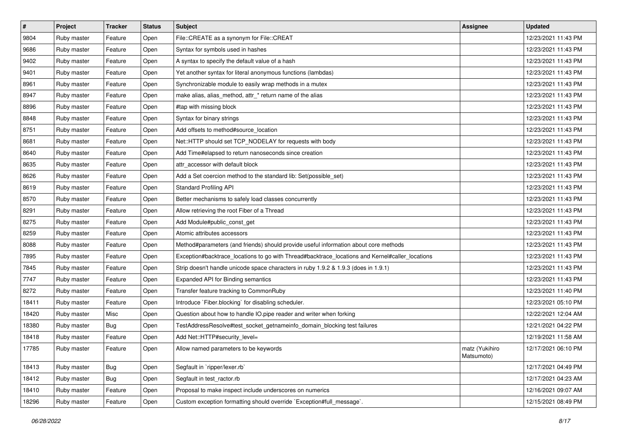| $\vert$ # | Project     | <b>Tracker</b> | <b>Status</b> | <b>Subject</b>                                                                                  | <b>Assignee</b>              | <b>Updated</b>      |
|-----------|-------------|----------------|---------------|-------------------------------------------------------------------------------------------------|------------------------------|---------------------|
| 9804      | Ruby master | Feature        | Open          | File::CREATE as a synonym for File::CREAT                                                       |                              | 12/23/2021 11:43 PM |
| 9686      | Ruby master | Feature        | Open          | Syntax for symbols used in hashes                                                               |                              | 12/23/2021 11:43 PM |
| 9402      | Ruby master | Feature        | Open          | A syntax to specify the default value of a hash                                                 |                              | 12/23/2021 11:43 PM |
| 9401      | Ruby master | Feature        | Open          | Yet another syntax for literal anonymous functions (lambdas)                                    |                              | 12/23/2021 11:43 PM |
| 8961      | Ruby master | Feature        | Open          | Synchronizable module to easily wrap methods in a mutex                                         |                              | 12/23/2021 11:43 PM |
| 8947      | Ruby master | Feature        | Open          | make alias, alias_method, attr_* return name of the alias                                       |                              | 12/23/2021 11:43 PM |
| 8896      | Ruby master | Feature        | Open          | #tap with missing block                                                                         |                              | 12/23/2021 11:43 PM |
| 8848      | Ruby master | Feature        | Open          | Syntax for binary strings                                                                       |                              | 12/23/2021 11:43 PM |
| 8751      | Ruby master | Feature        | Open          | Add offsets to method#source_location                                                           |                              | 12/23/2021 11:43 PM |
| 8681      | Ruby master | Feature        | Open          | Net::HTTP should set TCP_NODELAY for requests with body                                         |                              | 12/23/2021 11:43 PM |
| 8640      | Ruby master | Feature        | Open          | Add Time#elapsed to return nanoseconds since creation                                           |                              | 12/23/2021 11:43 PM |
| 8635      | Ruby master | Feature        | Open          | attr accessor with default block                                                                |                              | 12/23/2021 11:43 PM |
| 8626      | Ruby master | Feature        | Open          | Add a Set coercion method to the standard lib: Set(possible_set)                                |                              | 12/23/2021 11:43 PM |
| 8619      | Ruby master | Feature        | Open          | <b>Standard Profiling API</b>                                                                   |                              | 12/23/2021 11:43 PM |
| 8570      | Ruby master | Feature        | Open          | Better mechanisms to safely load classes concurrently                                           |                              | 12/23/2021 11:43 PM |
| 8291      | Ruby master | Feature        | Open          | Allow retrieving the root Fiber of a Thread                                                     |                              | 12/23/2021 11:43 PM |
| 8275      | Ruby master | Feature        | Open          | Add Module#public_const_get                                                                     |                              | 12/23/2021 11:43 PM |
| 8259      | Ruby master | Feature        | Open          | Atomic attributes accessors                                                                     |                              | 12/23/2021 11:43 PM |
| 8088      | Ruby master | Feature        | Open          | Method#parameters (and friends) should provide useful information about core methods            |                              | 12/23/2021 11:43 PM |
| 7895      | Ruby master | Feature        | Open          | Exception#backtrace_locations to go with Thread#backtrace_locations and Kernel#caller_locations |                              | 12/23/2021 11:43 PM |
| 7845      | Ruby master | Feature        | Open          | Strip doesn't handle unicode space characters in ruby 1.9.2 & 1.9.3 (does in 1.9.1)             |                              | 12/23/2021 11:43 PM |
| 7747      | Ruby master | Feature        | Open          | Expanded API for Binding semantics                                                              |                              | 12/23/2021 11:43 PM |
| 8272      | Ruby master | Feature        | Open          | Transfer feature tracking to CommonRuby                                                         |                              | 12/23/2021 11:40 PM |
| 18411     | Ruby master | Feature        | Open          | Introduce `Fiber.blocking` for disabling scheduler.                                             |                              | 12/23/2021 05:10 PM |
| 18420     | Ruby master | Misc           | Open          | Question about how to handle IO.pipe reader and writer when forking                             |                              | 12/22/2021 12:04 AM |
| 18380     | Ruby master | Bug            | Open          | TestAddressResolve#test_socket_getnameinfo_domain_blocking test failures                        |                              | 12/21/2021 04:22 PM |
| 18418     | Ruby master | Feature        | Open          | Add Net::HTTP#security_level=                                                                   |                              | 12/19/2021 11:58 AM |
| 17785     | Ruby master | Feature        | Open          | Allow named parameters to be keywords                                                           | matz (Yukihiro<br>Matsumoto) | 12/17/2021 06:10 PM |
| 18413     | Ruby master | <b>Bug</b>     | Open          | Segfault in 'ripper/lexer.rb'                                                                   |                              | 12/17/2021 04:49 PM |
| 18412     | Ruby master | <b>Bug</b>     | Open          | Segfault in test_ractor.rb                                                                      |                              | 12/17/2021 04:23 AM |
| 18410     | Ruby master | Feature        | Open          | Proposal to make inspect include underscores on numerics                                        |                              | 12/16/2021 09:07 AM |
| 18296     | Ruby master | Feature        | Open          | Custom exception formatting should override `Exception#full_message`.                           |                              | 12/15/2021 08:49 PM |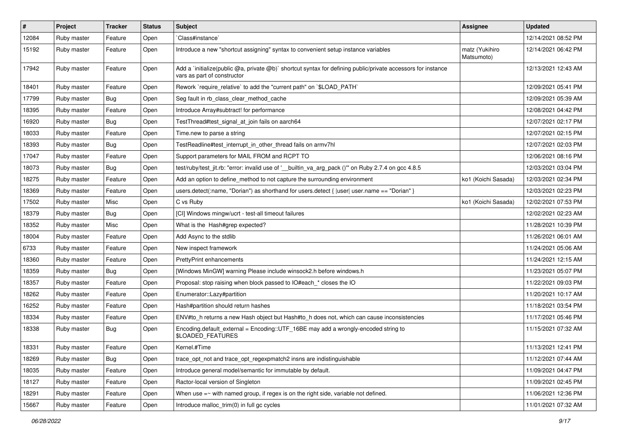| $\vert$ # | Project     | <b>Tracker</b> | <b>Status</b> | <b>Subject</b>                                                                                                                              | <b>Assignee</b>              | <b>Updated</b>      |
|-----------|-------------|----------------|---------------|---------------------------------------------------------------------------------------------------------------------------------------------|------------------------------|---------------------|
| 12084     | Ruby master | Feature        | Open          | Class#instance`                                                                                                                             |                              | 12/14/2021 08:52 PM |
| 15192     | Ruby master | Feature        | Open          | Introduce a new "shortcut assigning" syntax to convenient setup instance variables                                                          | matz (Yukihiro<br>Matsumoto) | 12/14/2021 06:42 PM |
| 17942     | Ruby master | Feature        | Open          | Add a `initialize(public @a, private @b)` shortcut syntax for defining public/private accessors for instance<br>vars as part of constructor |                              | 12/13/2021 12:43 AM |
| 18401     | Ruby master | Feature        | Open          | Rework `require_relative` to add the "current path" on `\$LOAD_PATH`                                                                        |                              | 12/09/2021 05:41 PM |
| 17799     | Ruby master | Bug            | Open          | Seg fault in rb_class_clear_method_cache                                                                                                    |                              | 12/09/2021 05:39 AM |
| 18395     | Ruby master | Feature        | Open          | Introduce Array#subtract! for performance                                                                                                   |                              | 12/08/2021 04:42 PM |
| 16920     | Ruby master | Bug            | Open          | TestThread#test_signal_at_join fails on aarch64                                                                                             |                              | 12/07/2021 02:17 PM |
| 18033     | Ruby master | Feature        | Open          | Time.new to parse a string                                                                                                                  |                              | 12/07/2021 02:15 PM |
| 18393     | Ruby master | Bug            | Open          | TestReadline#test interrupt in other thread fails on armv7hl                                                                                |                              | 12/07/2021 02:03 PM |
| 17047     | Ruby master | Feature        | Open          | Support parameters for MAIL FROM and RCPT TO                                                                                                |                              | 12/06/2021 08:16 PM |
| 18073     | Ruby master | Bug            | Open          | test/ruby/test_jit.rb: "error: invalid use of '_builtin_va_arg_pack ()" on Ruby 2.7.4 on gcc 4.8.5                                          |                              | 12/03/2021 03:04 PM |
| 18275     | Ruby master | Feature        | Open          | Add an option to define_method to not capture the surrounding environment                                                                   | ko1 (Koichi Sasada)          | 12/03/2021 02:34 PM |
| 18369     | Ruby master | Feature        | Open          | users.detect(:name, "Dorian") as shorthand for users.detect {  user  user.name == "Dorian" }                                                |                              | 12/03/2021 02:23 PM |
| 17502     | Ruby master | Misc           | Open          | C vs Ruby                                                                                                                                   | ko1 (Koichi Sasada)          | 12/02/2021 07:53 PM |
| 18379     | Ruby master | Bug            | Open          | [CI] Windows mingw/ucrt - test-all timeout failures                                                                                         |                              | 12/02/2021 02:23 AM |
| 18352     | Ruby master | Misc           | Open          | What is the Hash#grep expected?                                                                                                             |                              | 11/28/2021 10:39 PM |
| 18004     | Ruby master | Feature        | Open          | Add Async to the stdlib                                                                                                                     |                              | 11/26/2021 06:01 AM |
| 6733      | Ruby master | Feature        | Open          | New inspect framework                                                                                                                       |                              | 11/24/2021 05:06 AM |
| 18360     | Ruby master | Feature        | Open          | PrettyPrint enhancements                                                                                                                    |                              | 11/24/2021 12:15 AM |
| 18359     | Ruby master | Bug            | Open          | [Windows MinGW] warning Please include winsock2.h before windows.h                                                                          |                              | 11/23/2021 05:07 PM |
| 18357     | Ruby master | Feature        | Open          | Proposal: stop raising when block passed to IO#each_* closes the IO                                                                         |                              | 11/22/2021 09:03 PM |
| 18262     | Ruby master | Feature        | Open          | Enumerator::Lazy#partition                                                                                                                  |                              | 11/20/2021 10:17 AM |
| 16252     | Ruby master | Feature        | Open          | Hash#partition should return hashes                                                                                                         |                              | 11/18/2021 03:54 PM |
| 18334     | Ruby master | Feature        | Open          | ENV#to_h returns a new Hash object but Hash#to_h does not, which can cause inconsistencies                                                  |                              | 11/17/2021 05:46 PM |
| 18338     | Ruby master | Bug            | Open          | Encoding.default_external = Encoding::UTF_16BE may add a wrongly-encoded string to<br>\$LOADED_FEATURES                                     |                              | 11/15/2021 07:32 AM |
| 18331     | Ruby master | Feature        | Open          | Kernel.#Time                                                                                                                                |                              | 11/13/2021 12:41 PM |
| 18269     | Ruby master | Bug            | Open          | trace_opt_not and trace_opt_regexpmatch2 insns are indistinguishable                                                                        |                              | 11/12/2021 07:44 AM |
| 18035     | Ruby master | Feature        | Open          | Introduce general model/semantic for immutable by default.                                                                                  |                              | 11/09/2021 04:47 PM |
| 18127     | Ruby master | Feature        | Open          | Ractor-local version of Singleton                                                                                                           |                              | 11/09/2021 02:45 PM |
| 18291     | Ruby master | Feature        | Open          | When use $=\sim$ with named group, if regex is on the right side, variable not defined.                                                     |                              | 11/06/2021 12:36 PM |
| 15667     | Ruby master | Feature        | Open          | Introduce malloc_trim(0) in full gc cycles                                                                                                  |                              | 11/01/2021 07:32 AM |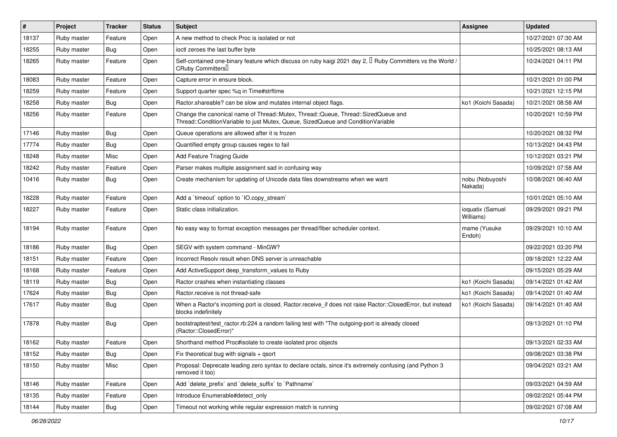| #     | Project     | <b>Tracker</b> | <b>Status</b> | <b>Subject</b>                                                                                                                                                        | <b>Assignee</b>               | <b>Updated</b>      |
|-------|-------------|----------------|---------------|-----------------------------------------------------------------------------------------------------------------------------------------------------------------------|-------------------------------|---------------------|
| 18137 | Ruby master | Feature        | Open          | A new method to check Proc is isolated or not                                                                                                                         |                               | 10/27/2021 07:30 AM |
| 18255 | Ruby master | Bug            | Open          | ioctl zeroes the last buffer byte                                                                                                                                     |                               | 10/25/2021 08:13 AM |
| 18265 | Ruby master | Feature        | Open          | Self-contained one-binary feature which discuss on ruby kaigi 2021 day 2, $\mathbb I$ Ruby Committers vs the World /<br>CRuby Committers <sup>[]</sup>                |                               | 10/24/2021 04:11 PM |
| 18083 | Ruby master | Feature        | Open          | Capture error in ensure block.                                                                                                                                        |                               | 10/21/2021 01:00 PM |
| 18259 | Ruby master | Feature        | Open          | Support quarter spec %q in Time#strftime                                                                                                                              |                               | 10/21/2021 12:15 PM |
| 18258 | Ruby master | Bug            | Open          | Ractor.shareable? can be slow and mutates internal object flags.                                                                                                      | ko1 (Koichi Sasada)           | 10/21/2021 08:58 AM |
| 18256 | Ruby master | Feature        | Open          | Change the canonical name of Thread::Mutex, Thread::Queue, Thread::SizedQueue and<br>Thread::ConditionVariable to just Mutex, Queue, SizedQueue and ConditionVariable |                               | 10/20/2021 10:59 PM |
| 17146 | Ruby master | Bug            | Open          | Queue operations are allowed after it is frozen                                                                                                                       |                               | 10/20/2021 08:32 PM |
| 17774 | Ruby master | Bug            | Open          | Quantified empty group causes regex to fail                                                                                                                           |                               | 10/13/2021 04:43 PM |
| 18248 | Ruby master | Misc           | Open          | Add Feature Triaging Guide                                                                                                                                            |                               | 10/12/2021 03:21 PM |
| 18242 | Ruby master | Feature        | Open          | Parser makes multiple assignment sad in confusing way                                                                                                                 |                               | 10/09/2021 07:58 AM |
| 10416 | Ruby master | Bug            | Open          | Create mechanism for updating of Unicode data files downstreams when we want                                                                                          | nobu (Nobuyoshi<br>Nakada)    | 10/08/2021 06:40 AM |
| 18228 | Ruby master | Feature        | Open          | Add a 'timeout' option to 'IO.copy_stream'                                                                                                                            |                               | 10/01/2021 05:10 AM |
| 18227 | Ruby master | Feature        | Open          | Static class initialization.                                                                                                                                          | ioquatix (Samuel<br>Williams) | 09/29/2021 09:21 PM |
| 18194 | Ruby master | Feature        | Open          | No easy way to format exception messages per thread/fiber scheduler context.                                                                                          | mame (Yusuke<br>Endoh)        | 09/29/2021 10:10 AM |
| 18186 | Ruby master | Bug            | Open          | SEGV with system command - MinGW?                                                                                                                                     |                               | 09/22/2021 03:20 PM |
| 18151 | Ruby master | Feature        | Open          | Incorrect Resoly result when DNS server is unreachable                                                                                                                |                               | 09/18/2021 12:22 AM |
| 18168 | Ruby master | Feature        | Open          | Add ActiveSupport deep transform values to Ruby                                                                                                                       |                               | 09/15/2021 05:29 AM |
| 18119 | Ruby master | Bug            | Open          | Ractor crashes when instantiating classes                                                                                                                             | ko1 (Koichi Sasada)           | 09/14/2021 01:42 AM |
| 17624 | Ruby master | Bug            | Open          | Ractor.receive is not thread-safe                                                                                                                                     | ko1 (Koichi Sasada)           | 09/14/2021 01:40 AM |
| 17617 | Ruby master | Bug            | Open          | When a Ractor's incoming port is closed, Ractor.receive_if does not raise Ractor::ClosedError, but instead<br>blocks indefinitely                                     | ko1 (Koichi Sasada)           | 09/14/2021 01:40 AM |
| 17878 | Ruby master | Bug            | Open          | bootstraptest/test_ractor.rb:224 a random failing test with "The outgoing-port is already closed<br>(Ractor::ClosedError)"                                            |                               | 09/13/2021 01:10 PM |
| 18162 | Ruby master | Feature        | Open          | Shorthand method Proc#isolate to create isolated proc objects                                                                                                         |                               | 09/13/2021 02:33 AM |
| 18152 | Ruby master | Bug            | Open          | Fix theoretical bug with signals + qsort                                                                                                                              |                               | 09/08/2021 03:38 PM |
| 18150 | Ruby master | Misc           | Open          | Proposal: Deprecate leading zero syntax to declare octals, since it's extremely confusing (and Python 3<br>removed it too)                                            |                               | 09/04/2021 03:21 AM |
| 18146 | Ruby master | Feature        | Open          | Add 'delete_prefix' and 'delete_suffix' to 'Pathname'                                                                                                                 |                               | 09/03/2021 04:59 AM |
| 18135 | Ruby master | Feature        | Open          | Introduce Enumerable#detect only                                                                                                                                      |                               | 09/02/2021 05:44 PM |
| 18144 | Ruby master | Bug            | Open          | Timeout not working while regular expression match is running                                                                                                         |                               | 09/02/2021 07:08 AM |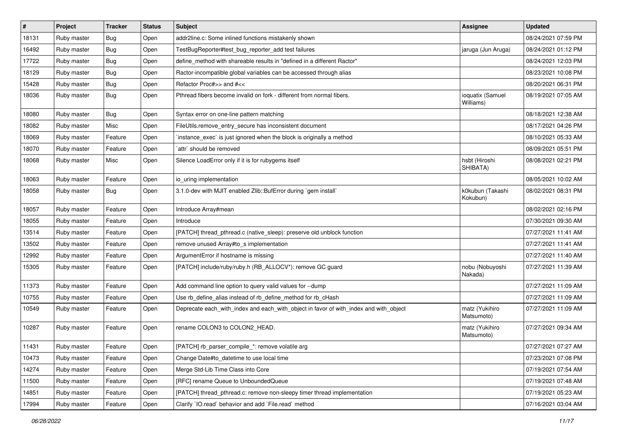| #     | Project     | <b>Tracker</b> | <b>Status</b> | Subject                                                                               | <b>Assignee</b>               | <b>Updated</b>      |
|-------|-------------|----------------|---------------|---------------------------------------------------------------------------------------|-------------------------------|---------------------|
| 18131 | Ruby master | Bug            | Open          | addr2line.c: Some inlined functions mistakenly shown                                  |                               | 08/24/2021 07:59 PM |
| 16492 | Ruby master | <b>Bug</b>     | Open          | TestBugReporter#test_bug_reporter_add test failures                                   | jaruga (Jun Aruga)            | 08/24/2021 01:12 PM |
| 17722 | Ruby master | Bug            | Open          | define_method with shareable results in "defined in a different Ractor"               |                               | 08/24/2021 12:03 PM |
| 18129 | Ruby master | <b>Bug</b>     | Open          | Ractor-incompatible global variables can be accessed through alias                    |                               | 08/23/2021 10:08 PM |
| 15428 | Ruby master | <b>Bug</b>     | Open          | Refactor Proc#>> and #<<                                                              |                               | 08/20/2021 06:31 PM |
| 18036 | Ruby master | <b>Bug</b>     | Open          | Pthread fibers become invalid on fork - different from normal fibers.                 | ioquatix (Samuel<br>Williams) | 08/19/2021 07:05 AM |
| 18080 | Ruby master | Bug            | Open          | Syntax error on one-line pattern matching                                             |                               | 08/18/2021 12:38 AM |
| 18082 | Ruby master | Misc           | Open          | FileUtils.remove_entry_secure has inconsistent document                               |                               | 08/17/2021 04:26 PM |
| 18069 | Ruby master | Feature        | Open          | instance_exec` is just ignored when the block is originally a method                  |                               | 08/10/2021 05:33 AM |
| 18070 | Ruby master | Feature        | Open          | `attr` should be removed                                                              |                               | 08/09/2021 05:51 PM |
| 18068 | Ruby master | Misc           | Open          | Silence LoadError only if it is for rubygems itself                                   | hsbt (Hiroshi<br>SHIBATA)     | 08/08/2021 02:21 PM |
| 18063 | Ruby master | Feature        | Open          | io_uring implementation                                                               |                               | 08/05/2021 10:02 AM |
| 18058 | Ruby master | Bug            | Open          | 3.1.0-dev with MJIT enabled Zlib::BufError during `gem install`                       | k0kubun (Takashi<br>Kokubun)  | 08/02/2021 08:31 PM |
| 18057 | Ruby master | Feature        | Open          | Introduce Array#mean                                                                  |                               | 08/02/2021 02:16 PM |
| 18055 | Ruby master | Feature        | Open          | Introduce                                                                             |                               | 07/30/2021 09:30 AM |
| 13514 | Ruby master | Feature        | Open          | [PATCH] thread_pthread.c (native_sleep): preserve old unblock function                |                               | 07/27/2021 11:41 AM |
| 13502 | Ruby master | Feature        | Open          | remove unused Array#to_s implementation                                               |                               | 07/27/2021 11:41 AM |
| 12992 | Ruby master | Feature        | Open          | ArgumentError if hostname is missing                                                  |                               | 07/27/2021 11:40 AM |
| 15305 | Ruby master | Feature        | Open          | [PATCH] include/ruby/ruby.h (RB_ALLOCV*): remove GC guard                             | nobu (Nobuyoshi<br>Nakada)    | 07/27/2021 11:39 AM |
| 11373 | Ruby master | Feature        | Open          | Add command line option to query valid values for --dump                              |                               | 07/27/2021 11:09 AM |
| 10755 | Ruby master | Feature        | Open          | Use rb_define_alias instead of rb_define_method for rb_cHash                          |                               | 07/27/2021 11:09 AM |
| 10549 | Ruby master | Feature        | Open          | Deprecate each_with_index and each_with_object in favor of with_index and with_object | matz (Yukihiro<br>Matsumoto)  | 07/27/2021 11:09 AM |
| 10287 | Ruby master | Feature        | Open          | rename COLON3 to COLON2_HEAD.                                                         | matz (Yukihiro<br>Matsumoto)  | 07/27/2021 09:34 AM |
| 11431 | Ruby master | Feature        | Open          | [PATCH] rb_parser_compile_*: remove volatile arg                                      |                               | 07/27/2021 07:27 AM |
| 10473 | Ruby master | Feature        | Open          | Change Date#to datetime to use local time                                             |                               | 07/23/2021 07:08 PM |
| 14274 | Ruby master | Feature        | Open          | Merge Std-Lib Time Class into Core                                                    |                               | 07/19/2021 07:54 AM |
| 11500 | Ruby master | Feature        | Open          | [RFC] rename Queue to UnboundedQueue                                                  |                               | 07/19/2021 07:48 AM |
| 14851 | Ruby master | Feature        | Open          | [PATCH] thread_pthread.c: remove non-sleepy timer thread implementation               |                               | 07/19/2021 05:23 AM |
| 17994 | Ruby master | Feature        | Open          | Clarify 'IO.read' behavior and add 'File.read' method                                 |                               | 07/16/2021 03:04 AM |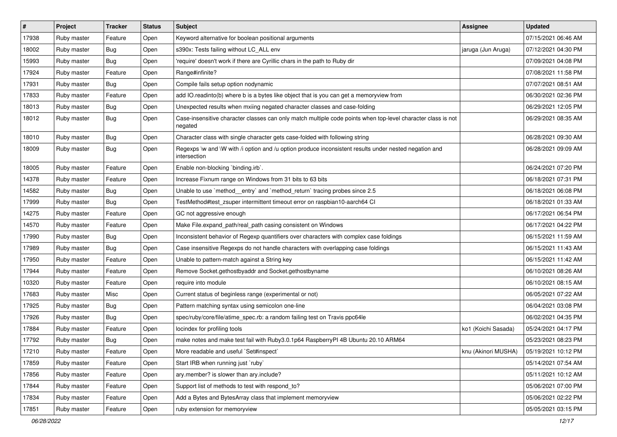| $\vert$ # | Project     | Tracker    | <b>Status</b> | Subject                                                                                                                 | <b>Assignee</b>     | <b>Updated</b>      |
|-----------|-------------|------------|---------------|-------------------------------------------------------------------------------------------------------------------------|---------------------|---------------------|
| 17938     | Ruby master | Feature    | Open          | Keyword alternative for boolean positional arguments                                                                    |                     | 07/15/2021 06:46 AM |
| 18002     | Ruby master | Bug        | Open          | s390x: Tests failing without LC_ALL env                                                                                 | jaruga (Jun Aruga)  | 07/12/2021 04:30 PM |
| 15993     | Ruby master | Bug        | Open          | 'require' doesn't work if there are Cyrillic chars in the path to Ruby dir                                              |                     | 07/09/2021 04:08 PM |
| 17924     | Ruby master | Feature    | Open          | Range#infinite?                                                                                                         |                     | 07/08/2021 11:58 PM |
| 17931     | Ruby master | <b>Bug</b> | Open          | Compile fails setup option nodynamic                                                                                    |                     | 07/07/2021 08:51 AM |
| 17833     | Ruby master | Feature    | Open          | add IO.readinto(b) where b is a bytes like object that is you can get a memoryview from                                 |                     | 06/30/2021 02:36 PM |
| 18013     | Ruby master | Bug        | Open          | Unexpected results when mxiing negated character classes and case-folding                                               |                     | 06/29/2021 12:05 PM |
| 18012     | Ruby master | Bug        | Open          | Case-insensitive character classes can only match multiple code points when top-level character class is not<br>negated |                     | 06/29/2021 08:35 AM |
| 18010     | Ruby master | <b>Bug</b> | Open          | Character class with single character gets case-folded with following string                                            |                     | 06/28/2021 09:30 AM |
| 18009     | Ruby master | Bug        | Open          | Regexps \w and \W with /i option and /u option produce inconsistent results under nested negation and<br>intersection   |                     | 06/28/2021 09:09 AM |
| 18005     | Ruby master | Feature    | Open          | Enable non-blocking 'binding.irb'.                                                                                      |                     | 06/24/2021 07:20 PM |
| 14378     | Ruby master | Feature    | Open          | Increase Fixnum range on Windows from 31 bits to 63 bits                                                                |                     | 06/18/2021 07:31 PM |
| 14582     | Ruby master | Bug        | Open          | Unable to use `method_entry` and `method_return` tracing probes since 2.5                                               |                     | 06/18/2021 06:08 PM |
| 17999     | Ruby master | Bug        | Open          | TestMethod#test_zsuper intermittent timeout error on raspbian10-aarch64 CI                                              |                     | 06/18/2021 01:33 AM |
| 14275     | Ruby master | Feature    | Open          | GC not aggressive enough                                                                                                |                     | 06/17/2021 06:54 PM |
| 14570     | Ruby master | Feature    | Open          | Make File.expand_path/real_path casing consistent on Windows                                                            |                     | 06/17/2021 04:22 PM |
| 17990     | Ruby master | Bug        | Open          | Inconsistent behavior of Regexp quantifiers over characters with complex case foldings                                  |                     | 06/15/2021 11:59 AM |
| 17989     | Ruby master | Bug        | Open          | Case insensitive Regexps do not handle characters with overlapping case foldings                                        |                     | 06/15/2021 11:43 AM |
| 17950     | Ruby master | Feature    | Open          | Unable to pattern-match against a String key                                                                            |                     | 06/15/2021 11:42 AM |
| 17944     | Ruby master | Feature    | Open          | Remove Socket.gethostbyaddr and Socket.gethostbyname                                                                    |                     | 06/10/2021 08:26 AM |
| 10320     | Ruby master | Feature    | Open          | require into module                                                                                                     |                     | 06/10/2021 08:15 AM |
| 17683     | Ruby master | Misc       | Open          | Current status of beginless range (experimental or not)                                                                 |                     | 06/05/2021 07:22 AM |
| 17925     | Ruby master | Bug        | Open          | Pattern matching syntax using semicolon one-line                                                                        |                     | 06/04/2021 03:08 PM |
| 17926     | Ruby master | Bug        | Open          | spec/ruby/core/file/atime_spec.rb: a random failing test on Travis ppc64le                                              |                     | 06/02/2021 04:35 PM |
| 17884     | Ruby master | Feature    | Open          | locindex for profiling tools                                                                                            | ko1 (Koichi Sasada) | 05/24/2021 04:17 PM |
| 17792     | Ruby master | Bug        | Open          | make notes and make test fail with Ruby3.0.1p64 RaspberryPI 4B Ubuntu 20.10 ARM64                                       |                     | 05/23/2021 08:23 PM |
| 17210     | Ruby master | Feature    | Open          | More readable and useful `Set#inspect`                                                                                  | knu (Akinori MUSHA) | 05/19/2021 10:12 PM |
| 17859     | Ruby master | Feature    | Open          | Start IRB when running just `ruby`                                                                                      |                     | 05/14/2021 07:54 AM |
| 17856     | Ruby master | Feature    | Open          | ary.member? is slower than ary.include?                                                                                 |                     | 05/11/2021 10:12 AM |
| 17844     | Ruby master | Feature    | Open          | Support list of methods to test with respond_to?                                                                        |                     | 05/06/2021 07:00 PM |
| 17834     | Ruby master | Feature    | Open          | Add a Bytes and BytesArray class that implement memoryview                                                              |                     | 05/06/2021 02:22 PM |
| 17851     | Ruby master | Feature    | Open          | ruby extension for memoryview                                                                                           |                     | 05/05/2021 03:15 PM |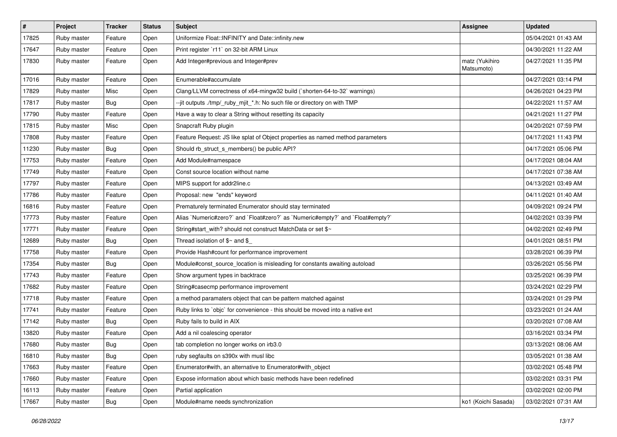| $\vert$ # | Project     | <b>Tracker</b> | <b>Status</b> | <b>Subject</b>                                                                 | Assignee                     | <b>Updated</b>      |
|-----------|-------------|----------------|---------------|--------------------------------------------------------------------------------|------------------------------|---------------------|
| 17825     | Ruby master | Feature        | Open          | Uniformize Float::INFINITY and Date::infinity.new                              |                              | 05/04/2021 01:43 AM |
| 17647     | Ruby master | Feature        | Open          | Print register `r11` on 32-bit ARM Linux                                       |                              | 04/30/2021 11:22 AM |
| 17830     | Ruby master | Feature        | Open          | Add Integer#previous and Integer#prev                                          | matz (Yukihiro<br>Matsumoto) | 04/27/2021 11:35 PM |
| 17016     | Ruby master | Feature        | Open          | Enumerable#accumulate                                                          |                              | 04/27/2021 03:14 PM |
| 17829     | Ruby master | Misc           | Open          | Clang/LLVM correctness of x64-mingw32 build (`shorten-64-to-32` warnings)      |                              | 04/26/2021 04:23 PM |
| 17817     | Ruby master | Bug            | Open          | --jit outputs ./tmp/_ruby_mjit_*.h: No such file or directory on with TMP      |                              | 04/22/2021 11:57 AM |
| 17790     | Ruby master | Feature        | Open          | Have a way to clear a String without resetting its capacity                    |                              | 04/21/2021 11:27 PM |
| 17815     | Ruby master | Misc           | Open          | Snapcraft Ruby plugin                                                          |                              | 04/20/2021 07:59 PM |
| 17808     | Ruby master | Feature        | Open          | Feature Request: JS like splat of Object properties as named method parameters |                              | 04/17/2021 11:43 PM |
| 11230     | Ruby master | <b>Bug</b>     | Open          | Should rb_struct_s_members() be public API?                                    |                              | 04/17/2021 05:06 PM |
| 17753     | Ruby master | Feature        | Open          | Add Module#namespace                                                           |                              | 04/17/2021 08:04 AM |
| 17749     | Ruby master | Feature        | Open          | Const source location without name                                             |                              | 04/17/2021 07:38 AM |
| 17797     | Ruby master | Feature        | Open          | MIPS support for addr2line.c                                                   |                              | 04/13/2021 03:49 AM |
| 17786     | Ruby master | Feature        | Open          | Proposal: new "ends" keyword                                                   |                              | 04/11/2021 01:40 AM |
| 16816     | Ruby master | Feature        | Open          | Prematurely terminated Enumerator should stay terminated                       |                              | 04/09/2021 09:24 PM |
| 17773     | Ruby master | Feature        | Open          | Alias `Numeric#zero?` and `Float#zero?` as `Numeric#empty?` and `Float#empty?` |                              | 04/02/2021 03:39 PM |
| 17771     | Ruby master | Feature        | Open          | String#start_with? should not construct MatchData or set \$~                   |                              | 04/02/2021 02:49 PM |
| 12689     | Ruby master | Bug            | Open          | Thread isolation of $$~$ and \$                                                |                              | 04/01/2021 08:51 PM |
| 17758     | Ruby master | Feature        | Open          | Provide Hash#count for performance improvement                                 |                              | 03/28/2021 06:39 PM |
| 17354     | Ruby master | Bug            | Open          | Module#const_source_location is misleading for constants awaiting autoload     |                              | 03/26/2021 05:56 PM |
| 17743     | Ruby master | Feature        | Open          | Show argument types in backtrace                                               |                              | 03/25/2021 06:39 PM |
| 17682     | Ruby master | Feature        | Open          | String#casecmp performance improvement                                         |                              | 03/24/2021 02:29 PM |
| 17718     | Ruby master | Feature        | Open          | a method paramaters object that can be pattern matched against                 |                              | 03/24/2021 01:29 PM |
| 17741     | Ruby master | Feature        | Open          | Ruby links to `objc` for convenience - this should be moved into a native ext  |                              | 03/23/2021 01:24 AM |
| 17142     | Ruby master | Bug            | Open          | Ruby fails to build in AIX                                                     |                              | 03/20/2021 07:08 AM |
| 13820     | Ruby master | Feature        | Open          | Add a nil coalescing operator                                                  |                              | 03/16/2021 03:34 PM |
| 17680     | Ruby master | <b>Bug</b>     | Open          | tab completion no longer works on irb3.0                                       |                              | 03/13/2021 08:06 AM |
| 16810     | Ruby master | Bug            | Open          | ruby segfaults on s390x with musl libc                                         |                              | 03/05/2021 01:38 AM |
| 17663     | Ruby master | Feature        | Open          | Enumerator#with, an alternative to Enumerator#with object                      |                              | 03/02/2021 05:48 PM |
| 17660     | Ruby master | Feature        | Open          | Expose information about which basic methods have been redefined               |                              | 03/02/2021 03:31 PM |
| 16113     | Ruby master | Feature        | Open          | Partial application                                                            |                              | 03/02/2021 02:00 PM |
| 17667     | Ruby master | <b>Bug</b>     | Open          | Module#name needs synchronization                                              | ko1 (Koichi Sasada)          | 03/02/2021 07:31 AM |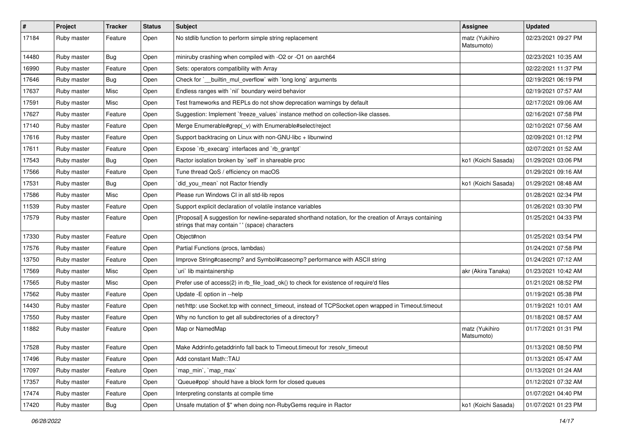| $\#$  | Project     | <b>Tracker</b> | <b>Status</b> | Subject                                                                                                                                                    | <b>Assignee</b>              | <b>Updated</b>      |
|-------|-------------|----------------|---------------|------------------------------------------------------------------------------------------------------------------------------------------------------------|------------------------------|---------------------|
| 17184 | Ruby master | Feature        | Open          | No stdlib function to perform simple string replacement                                                                                                    | matz (Yukihiro<br>Matsumoto) | 02/23/2021 09:27 PM |
| 14480 | Ruby master | <b>Bug</b>     | Open          | miniruby crashing when compiled with -O2 or -O1 on aarch64                                                                                                 |                              | 02/23/2021 10:35 AM |
| 16990 | Ruby master | Feature        | Open          | Sets: operators compatibility with Array                                                                                                                   |                              | 02/22/2021 11:37 PM |
| 17646 | Ruby master | Bug            | Open          | Check for `__builtin_mul_overflow` with `long long` arguments                                                                                              |                              | 02/19/2021 06:19 PM |
| 17637 | Ruby master | Misc           | Open          | Endless ranges with `nil` boundary weird behavior                                                                                                          |                              | 02/19/2021 07:57 AM |
| 17591 | Ruby master | Misc           | Open          | Test frameworks and REPLs do not show deprecation warnings by default                                                                                      |                              | 02/17/2021 09:06 AM |
| 17627 | Ruby master | Feature        | Open          | Suggestion: Implement `freeze_values` instance method on collection-like classes.                                                                          |                              | 02/16/2021 07:58 PM |
| 17140 | Ruby master | Feature        | Open          | Merge Enumerable#grep(_v) with Enumerable#select/reject                                                                                                    |                              | 02/10/2021 07:56 AM |
| 17616 | Ruby master | Feature        | Open          | Support backtracing on Linux with non-GNU-libc + libunwind                                                                                                 |                              | 02/09/2021 01:12 PM |
| 17611 | Ruby master | Feature        | Open          | Expose `rb_execarg` interfaces and `rb_grantpt`                                                                                                            |                              | 02/07/2021 01:52 AM |
| 17543 | Ruby master | Bug            | Open          | Ractor isolation broken by `self` in shareable proc                                                                                                        | ko1 (Koichi Sasada)          | 01/29/2021 03:06 PM |
| 17566 | Ruby master | Feature        | Open          | Tune thread QoS / efficiency on macOS                                                                                                                      |                              | 01/29/2021 09:16 AM |
| 17531 | Ruby master | Bug            | Open          | did_you_mean' not Ractor friendly                                                                                                                          | ko1 (Koichi Sasada)          | 01/29/2021 08:48 AM |
| 17586 | Ruby master | Misc           | Open          | Please run Windows CI in all std-lib repos                                                                                                                 |                              | 01/28/2021 02:34 PM |
| 11539 | Ruby master | Feature        | Open          | Support explicit declaration of volatile instance variables                                                                                                |                              | 01/26/2021 03:30 PM |
| 17579 | Ruby master | Feature        | Open          | [Proposal] A suggestion for newline-separated shorthand notation, for the creation of Arrays containing<br>strings that may contain ' ' (space) characters |                              | 01/25/2021 04:33 PM |
| 17330 | Ruby master | Feature        | Open          | Object#non                                                                                                                                                 |                              | 01/25/2021 03:54 PM |
| 17576 | Ruby master | Feature        | Open          | Partial Functions (procs, lambdas)                                                                                                                         |                              | 01/24/2021 07:58 PM |
| 13750 | Ruby master | Feature        | Open          | Improve String#casecmp? and Symbol#casecmp? performance with ASCII string                                                                                  |                              | 01/24/2021 07:12 AM |
| 17569 | Ruby master | Misc           | Open          | uri lib maintainership                                                                                                                                     | akr (Akira Tanaka)           | 01/23/2021 10:42 AM |
| 17565 | Ruby master | Misc           | Open          | Prefer use of access(2) in rb_file_load_ok() to check for existence of require'd files                                                                     |                              | 01/21/2021 08:52 PM |
| 17562 | Ruby master | Feature        | Open          | Update - E option in --help                                                                                                                                |                              | 01/19/2021 05:38 PM |
| 14430 | Ruby master | Feature        | Open          | net/http: use Socket.tcp with connect_timeout, instead of TCPSocket.open wrapped in Timeout.timeout                                                        |                              | 01/19/2021 10:01 AM |
| 17550 | Ruby master | Feature        | Open          | Why no function to get all subdirectories of a directory?                                                                                                  |                              | 01/18/2021 08:57 AM |
| 11882 | Ruby master | Feature        | Open          | Map or NamedMap                                                                                                                                            | matz (Yukihiro<br>Matsumoto) | 01/17/2021 01:31 PM |
| 17528 | Ruby master | Feature        | Open          | Make Addrinfo.getaddrinfo fall back to Timeout.timeout for :resolv_timeout                                                                                 |                              | 01/13/2021 08:50 PM |
| 17496 | Ruby master | Feature        | Open          | Add constant Math::TAU                                                                                                                                     |                              | 01/13/2021 05:47 AM |
| 17097 | Ruby master | Feature        | Open          | `map_min`, `map_max`                                                                                                                                       |                              | 01/13/2021 01:24 AM |
| 17357 | Ruby master | Feature        | Open          | Queue#pop' should have a block form for closed queues                                                                                                      |                              | 01/12/2021 07:32 AM |
| 17474 | Ruby master | Feature        | Open          | Interpreting constants at compile time                                                                                                                     |                              | 01/07/2021 04:40 PM |
| 17420 | Ruby master | Bug            | Open          | Unsafe mutation of \$" when doing non-RubyGems require in Ractor                                                                                           | ko1 (Koichi Sasada)          | 01/07/2021 01:23 PM |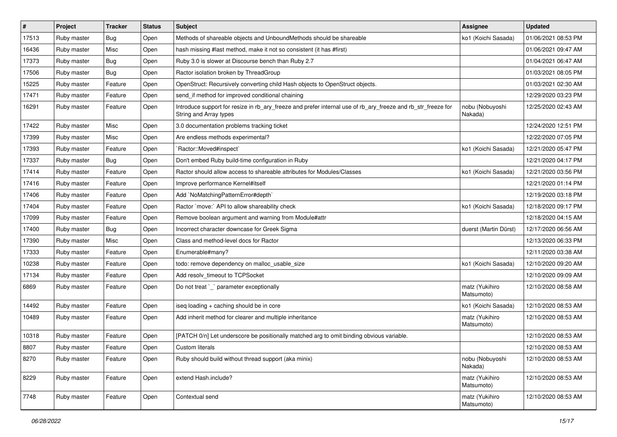| #     | Project     | <b>Tracker</b> | <b>Status</b> | Subject                                                                                                                                | <b>Assignee</b>              | <b>Updated</b>      |
|-------|-------------|----------------|---------------|----------------------------------------------------------------------------------------------------------------------------------------|------------------------------|---------------------|
| 17513 | Ruby master | Bug            | Open          | Methods of shareable objects and UnboundMethods should be shareable                                                                    | ko1 (Koichi Sasada)          | 01/06/2021 08:53 PM |
| 16436 | Ruby master | Misc           | Open          | hash missing #last method, make it not so consistent (it has #first)                                                                   |                              | 01/06/2021 09:47 AM |
| 17373 | Ruby master | Bug            | Open          | Ruby 3.0 is slower at Discourse bench than Ruby 2.7                                                                                    |                              | 01/04/2021 06:47 AM |
| 17506 | Ruby master | Bug            | Open          | Ractor isolation broken by ThreadGroup                                                                                                 |                              | 01/03/2021 08:05 PM |
| 15225 | Ruby master | Feature        | Open          | OpenStruct: Recursively converting child Hash objects to OpenStruct objects.                                                           |                              | 01/03/2021 02:30 AM |
| 17471 | Ruby master | Feature        | Open          | send_if method for improved conditional chaining                                                                                       |                              | 12/29/2020 03:23 PM |
| 16291 | Ruby master | Feature        | Open          | Introduce support for resize in rb_ary_freeze and prefer internal use of rb_ary_freeze and rb_str_freeze for<br>String and Array types | nobu (Nobuyoshi<br>Nakada)   | 12/25/2020 02:43 AM |
| 17422 | Ruby master | Misc           | Open          | 3.0 documentation problems tracking ticket                                                                                             |                              | 12/24/2020 12:51 PM |
| 17399 | Ruby master | Misc           | Open          | Are endless methods experimental?                                                                                                      |                              | 12/22/2020 07:05 PM |
| 17393 | Ruby master | Feature        | Open          | `Ractor::Moved#inspect`                                                                                                                | ko1 (Koichi Sasada)          | 12/21/2020 05:47 PM |
| 17337 | Ruby master | Bug            | Open          | Don't embed Ruby build-time configuration in Ruby                                                                                      |                              | 12/21/2020 04:17 PM |
| 17414 | Ruby master | Feature        | Open          | Ractor should allow access to shareable attributes for Modules/Classes                                                                 | ko1 (Koichi Sasada)          | 12/21/2020 03:56 PM |
| 17416 | Ruby master | Feature        | Open          | Improve performance Kernel#itself                                                                                                      |                              | 12/21/2020 01:14 PM |
| 17406 | Ruby master | Feature        | Open          | Add `NoMatchingPatternError#depth`                                                                                                     |                              | 12/19/2020 03:18 PM |
| 17404 | Ruby master | Feature        | Open          | Ractor `move:` API to allow shareability check                                                                                         | ko1 (Koichi Sasada)          | 12/18/2020 09:17 PM |
| 17099 | Ruby master | Feature        | Open          | Remove boolean argument and warning from Module#attr                                                                                   |                              | 12/18/2020 04:15 AM |
| 17400 | Ruby master | Bug            | Open          | Incorrect character downcase for Greek Sigma                                                                                           | duerst (Martin Dürst)        | 12/17/2020 06:56 AM |
| 17390 | Ruby master | Misc           | Open          | Class and method-level docs for Ractor                                                                                                 |                              | 12/13/2020 06:33 PM |
| 17333 | Ruby master | Feature        | Open          | Enumerable#many?                                                                                                                       |                              | 12/11/2020 03:38 AM |
| 10238 | Ruby master | Feature        | Open          | todo: remove dependency on malloc_usable_size                                                                                          | ko1 (Koichi Sasada)          | 12/10/2020 09:20 AM |
| 17134 | Ruby master | Feature        | Open          | Add resolv timeout to TCPSocket                                                                                                        |                              | 12/10/2020 09:09 AM |
| 6869  | Ruby master | Feature        | Open          | Do not treat `_` parameter exceptionally                                                                                               | matz (Yukihiro<br>Matsumoto) | 12/10/2020 08:58 AM |
| 14492 | Ruby master | Feature        | Open          | iseq loading + caching should be in core                                                                                               | ko1 (Koichi Sasada)          | 12/10/2020 08:53 AM |
| 10489 | Ruby master | Feature        | Open          | Add inherit method for clearer and multiple inheritance                                                                                | matz (Yukihiro<br>Matsumoto) | 12/10/2020 08:53 AM |
| 10318 | Ruby master | Feature        | Open          | [PATCH 0/n] Let underscore be positionally matched arg to omit binding obvious variable.                                               |                              | 12/10/2020 08:53 AM |
| 8807  | Ruby master | Feature        | Open          | Custom literals                                                                                                                        |                              | 12/10/2020 08:53 AM |
| 8270  | Ruby master | Feature        | Open          | Ruby should build without thread support (aka minix)                                                                                   | nobu (Nobuyoshi<br>Nakada)   | 12/10/2020 08:53 AM |
| 8229  | Ruby master | Feature        | Open          | extend Hash.include?                                                                                                                   | matz (Yukihiro<br>Matsumoto) | 12/10/2020 08:53 AM |
| 7748  | Ruby master | Feature        | Open          | Contextual send                                                                                                                        | matz (Yukihiro<br>Matsumoto) | 12/10/2020 08:53 AM |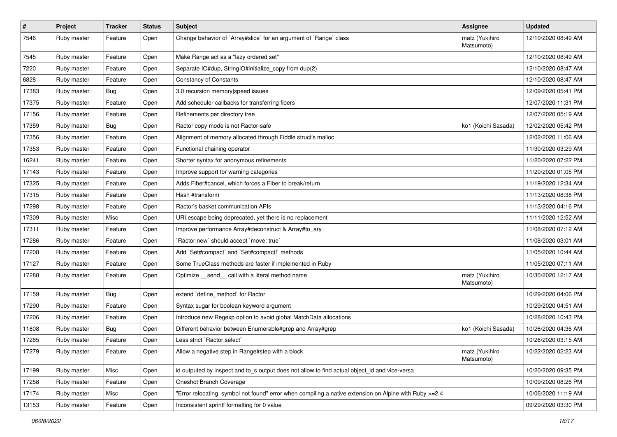| $\sharp$ | Project     | <b>Tracker</b> | <b>Status</b> | Subject                                                                                                | <b>Assignee</b>              | <b>Updated</b>      |
|----------|-------------|----------------|---------------|--------------------------------------------------------------------------------------------------------|------------------------------|---------------------|
| 7546     | Ruby master | Feature        | Open          | Change behavior of `Array#slice` for an argument of `Range` class                                      | matz (Yukihiro<br>Matsumoto) | 12/10/2020 08:49 AM |
| 7545     | Ruby master | Feature        | Open          | Make Range act as a "lazy ordered set"                                                                 |                              | 12/10/2020 08:49 AM |
| 7220     | Ruby master | Feature        | Open          | Separate IO#dup, StringIO#initialize_copy from dup(2)                                                  |                              | 12/10/2020 08:47 AM |
| 6828     | Ruby master | Feature        | Open          | <b>Constancy of Constants</b>                                                                          |                              | 12/10/2020 08:47 AM |
| 17383    | Ruby master | <b>Bug</b>     | Open          | 3.0 recursion memory speed issues                                                                      |                              | 12/09/2020 05:41 PM |
| 17375    | Ruby master | Feature        | Open          | Add scheduler callbacks for transferring fibers                                                        |                              | 12/07/2020 11:31 PM |
| 17156    | Ruby master | Feature        | Open          | Refinements per directory tree                                                                         |                              | 12/07/2020 05:19 AM |
| 17359    | Ruby master | Bug            | Open          | Ractor copy mode is not Ractor-safe                                                                    | ko1 (Koichi Sasada)          | 12/02/2020 05:42 PM |
| 17356    | Ruby master | Feature        | Open          | Alignment of memory allocated through Fiddle struct's malloc                                           |                              | 12/02/2020 11:06 AM |
| 17353    | Ruby master | Feature        | Open          | Functional chaining operator                                                                           |                              | 11/30/2020 03:29 AM |
| 16241    | Ruby master | Feature        | Open          | Shorter syntax for anonymous refinements                                                               |                              | 11/20/2020 07:22 PM |
| 17143    | Ruby master | Feature        | Open          | Improve support for warning categories                                                                 |                              | 11/20/2020 01:05 PM |
| 17325    | Ruby master | Feature        | Open          | Adds Fiber#cancel, which forces a Fiber to break/return                                                |                              | 11/19/2020 12:34 AM |
| 17315    | Ruby master | Feature        | Open          | Hash #transform                                                                                        |                              | 11/13/2020 08:38 PM |
| 17298    | Ruby master | Feature        | Open          | Ractor's basket communication APIs                                                                     |                              | 11/13/2020 04:16 PM |
| 17309    | Ruby master | Misc           | Open          | URI.escape being deprecated, yet there is no replacement                                               |                              | 11/11/2020 12:52 AM |
| 17311    | Ruby master | Feature        | Open          | Improve performance Array#deconstruct & Array#to_ary                                                   |                              | 11/08/2020 07:12 AM |
| 17286    | Ruby master | Feature        | Open          | 'Ractor.new' should accept 'move: true'                                                                |                              | 11/08/2020 03:01 AM |
| 17208    | Ruby master | Feature        | Open          | Add `Set#compact` and `Set#compact!` methods                                                           |                              | 11/05/2020 10:44 AM |
| 17127    | Ruby master | Feature        | Open          | Some TrueClass methods are faster if implemented in Ruby                                               |                              | 11/05/2020 07:11 AM |
| 17288    | Ruby master | Feature        | Open          | Optimize _send_ call with a literal method name                                                        | matz (Yukihiro<br>Matsumoto) | 10/30/2020 12:17 AM |
| 17159    | Ruby master | Bug            | Open          | extend 'define_method' for Ractor                                                                      |                              | 10/29/2020 04:06 PM |
| 17290    | Ruby master | Feature        | Open          | Syntax sugar for boolean keyword argument                                                              |                              | 10/29/2020 04:51 AM |
| 17206    | Ruby master | Feature        | Open          | Introduce new Regexp option to avoid global MatchData allocations                                      |                              | 10/28/2020 10:43 PM |
| 11808    | Ruby master | <b>Bug</b>     | Open          | Different behavior between Enumerable#grep and Array#grep                                              | ko1 (Koichi Sasada)          | 10/26/2020 04:36 AM |
| 17285    | Ruby master | Feature        | Open          | Less strict `Ractor.select`                                                                            |                              | 10/26/2020 03:15 AM |
| 17279    | Ruby master | Feature        | Open          | Allow a negative step in Range#step with a block                                                       | matz (Yukihiro<br>Matsumoto) | 10/22/2020 02:23 AM |
| 17199    | Ruby master | Misc           | Open          | id outputed by inspect and to s output does not allow to find actual object_id and vice-versa          |                              | 10/20/2020 09:35 PM |
| 17258    | Ruby master | Feature        | Open          | Oneshot Branch Coverage                                                                                |                              | 10/09/2020 08:26 PM |
| 17174    | Ruby master | Misc           | Open          | Error relocating, symbol not found" error when compiling a native extension on Alpine with Ruby >=2.4" |                              | 10/06/2020 11:19 AM |
| 13153    | Ruby master | Feature        | Open          | Inconsistent sprintf formatting for 0 value                                                            |                              | 09/29/2020 03:30 PM |